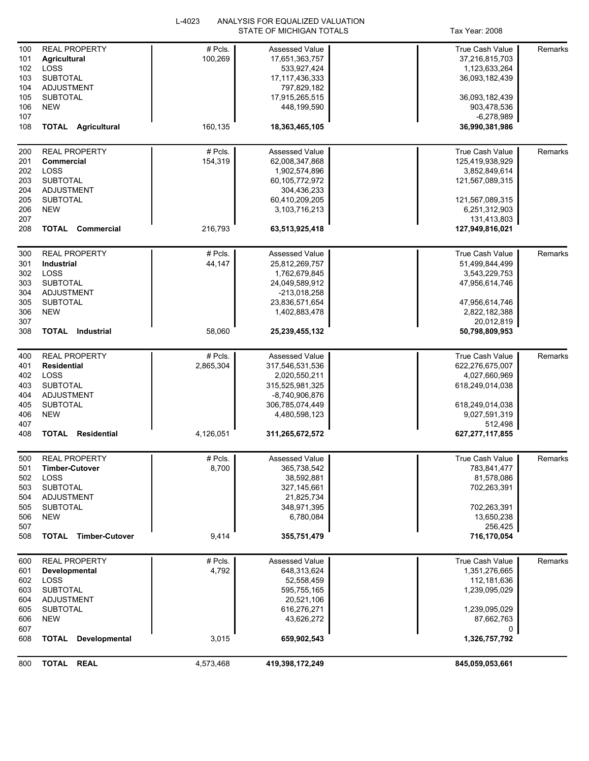|            |                                    | L-4023    | ANALYSIS FOR EQUALIZED VALUATION |                                |         |
|------------|------------------------------------|-----------|----------------------------------|--------------------------------|---------|
|            |                                    |           | STATE OF MICHIGAN TOTALS         | Tax Year: 2008                 |         |
| 100        | <b>REAL PROPERTY</b>               | # Pcls.   | <b>Assessed Value</b>            | True Cash Value                | Remarks |
| 101        | <b>Agricultural</b>                | 100,269   | 17,651,363,757                   | 37,216,815,703                 |         |
| 102        | LOSS                               |           | 533,927,424                      | 1,123,633,264                  |         |
| 103        | <b>SUBTOTAL</b>                    |           | 17, 117, 436, 333                | 36,093,182,439                 |         |
| 104        | <b>ADJUSTMENT</b>                  |           |                                  |                                |         |
| 105        | <b>SUBTOTAL</b>                    |           | 797,829,182<br>17,915,265,515    | 36,093,182,439                 |         |
|            | <b>NEW</b>                         |           |                                  |                                |         |
| 106        |                                    |           | 448,199,590                      | 903,478,536                    |         |
| 107        |                                    |           |                                  | -6,278,989                     |         |
| 108        | <b>TOTAL Agricultural</b>          | 160,135   | 18,363,465,105                   | 36,990,381,986                 |         |
| 200        | <b>REAL PROPERTY</b>               | # Pcls.   | <b>Assessed Value</b>            | <b>True Cash Value</b>         | Remarks |
| 201        | Commercial                         | 154,319   | 62,008,347,868                   | 125,419,938,929                |         |
| 202        | LOSS                               |           |                                  | 3,852,849,614                  |         |
|            |                                    |           | 1,902,574,896                    |                                |         |
| 203        | <b>SUBTOTAL</b>                    |           | 60,105,772,972                   | 121,567,089,315                |         |
| 204        | <b>ADJUSTMENT</b>                  |           | 304,436,233                      |                                |         |
| 205        | <b>SUBTOTAL</b>                    |           | 60,410,209,205                   | 121,567,089,315                |         |
| 206        | <b>NEW</b>                         |           | 3,103,716,213                    | 6,251,312,903                  |         |
| 207<br>208 | <b>TOTAL Commercial</b>            | 216,793   | 63,513,925,418                   | 131,413,803<br>127,949,816,021 |         |
|            |                                    |           |                                  |                                |         |
| 300        | <b>REAL PROPERTY</b>               | # Pcls.   | <b>Assessed Value</b>            | True Cash Value                | Remarks |
| 301        | Industrial                         | 44,147    | 25,812,269,757                   | 51,499,844,499                 |         |
| 302        | LOSS                               |           | 1,762,679,845                    | 3,543,229,753                  |         |
| 303        | <b>SUBTOTAL</b>                    |           | 24,049,589,912                   | 47,956,614,746                 |         |
| 304        | <b>ADJUSTMENT</b>                  |           | -213,018,258                     |                                |         |
| 305        | <b>SUBTOTAL</b>                    |           | 23,836,571,654                   | 47,956,614,746                 |         |
| 306        | <b>NEW</b>                         |           | 1,402,883,478                    | 2,822,182,388                  |         |
| 307        |                                    |           |                                  | 20,012,819                     |         |
| 308        | <b>TOTAL</b> Industrial            | 58,060    | 25,239,455,132                   | 50,798,809,953                 |         |
|            |                                    |           |                                  |                                |         |
| 400        | <b>REAL PROPERTY</b>               | # Pcls.   | Assessed Value                   | True Cash Value                | Remarks |
| 401        | <b>Residential</b>                 | 2,865,304 | 317,546,531,536                  | 622,276,675,007                |         |
| 402        | <b>LOSS</b>                        |           | 2,020,550,211                    | 4,027,660,969                  |         |
| 403        | <b>SUBTOTAL</b>                    |           | 315,525,981,325                  | 618,249,014,038                |         |
| 404        | <b>ADJUSTMENT</b>                  |           | -8,740,906,876                   |                                |         |
| 405        | <b>SUBTOTAL</b>                    |           | 306,785,074,449                  | 618,249,014,038                |         |
| 406        | <b>NEW</b>                         |           | 4,480,598,123                    | 9,027,591,319                  |         |
| 407        |                                    |           |                                  | 512.498                        |         |
| 408        | <b>TOTAL</b><br><b>Residential</b> | 4,126,051 | 311,265,672,572                  | 627, 277, 117, 855             |         |
|            |                                    |           |                                  |                                |         |
| 500        | <b>REAL PROPERTY</b>               | # Pcls.   | Assessed Value                   | True Cash Value                | Remarks |
| 501        | <b>Timber-Cutover</b>              | 8,700     | 365,738,542                      | 783,841,477                    |         |
| 502        | LOSS                               |           | 38,592,881                       | 81,578,086                     |         |
| 503        | <b>SUBTOTAL</b>                    |           | 327, 145, 661                    | 702,263,391                    |         |
| 504        | ADJUSTMENT                         |           | 21,825,734                       |                                |         |
| 505        | <b>SUBTOTAL</b>                    |           | 348,971,395                      | 702,263,391                    |         |
| 506        | <b>NEW</b>                         |           | 6,780,084                        | 13,650,238                     |         |
| 507        |                                    |           |                                  | 256,425                        |         |
| 508        | <b>TOTAL Timber-Cutover</b>        | 9,414     | 355,751,479                      | 716,170,054                    |         |
| 600        | <b>REAL PROPERTY</b>               | # Pcls.   | Assessed Value                   | True Cash Value                | Remarks |
|            |                                    | 4,792     | 648,313,624                      | 1,351,276,665                  |         |
| 601        | Developmental<br>LOSS              |           |                                  |                                |         |
| 602        |                                    |           | 52,558,459                       | 112,181,636                    |         |
| 603        | <b>SUBTOTAL</b>                    |           | 595,755,165                      | 1,239,095,029                  |         |
| 604        | ADJUSTMENT                         |           | 20,521,106                       |                                |         |
| 605        | <b>SUBTOTAL</b>                    |           | 616,276,271                      | 1,239,095,029                  |         |
| 606        | <b>NEW</b>                         |           | 43,626,272                       | 87,662,763                     |         |
| 607        | <b>TOTAL</b><br>Developmental      |           | 659,902,543                      | 0                              |         |
| 608        |                                    | 3,015     |                                  | 1,326,757,792                  |         |
| 800        | TOTAL REAL                         | 4,573,468 | 419,398,172,249                  | 845,059,053,661                |         |
|            |                                    |           |                                  |                                |         |